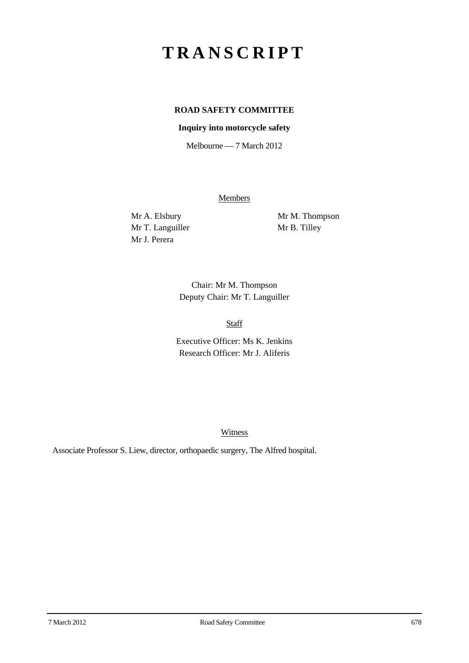## **TRANSCRIPT**

## **ROAD SAFETY COMMITTEE**

## **Inquiry into motorcycle safety**

Melbourne — 7 March 2012

**Members** 

Mr T. Languiller Mr B. Tilley Mr J. Perera

Mr A. Elsbury Mr M. Thompson

Chair: Mr M. Thompson Deputy Chair: Mr T. Languiller

Staff

Executive Officer: Ms K. Jenkins Research Officer: Mr J. Aliferis

Witness

Associate Professor S. Liew, director, orthopaedic surgery, The Alfred hospital.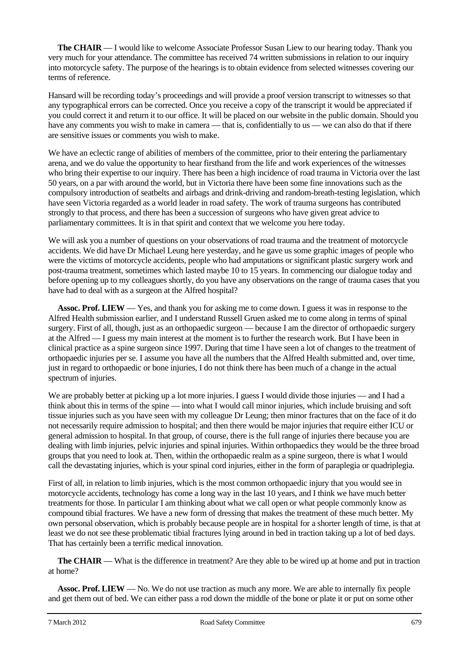**The CHAIR** — I would like to welcome Associate Professor Susan Liew to our hearing today. Thank you very much for your attendance. The committee has received 74 written submissions in relation to our inquiry into motorcycle safety. The purpose of the hearings is to obtain evidence from selected witnesses covering our terms of reference.

Hansard will be recording today's proceedings and will provide a proof version transcript to witnesses so that any typographical errors can be corrected. Once you receive a copy of the transcript it would be appreciated if you could correct it and return it to our office. It will be placed on our website in the public domain. Should you have any comments you wish to make in camera — that is, confidentially to us — we can also do that if there are sensitive issues or comments you wish to make.

We have an eclectic range of abilities of members of the committee, prior to their entering the parliamentary arena, and we do value the opportunity to hear firsthand from the life and work experiences of the witnesses who bring their expertise to our inquiry. There has been a high incidence of road trauma in Victoria over the last 50 years, on a par with around the world, but in Victoria there have been some fine innovations such as the compulsory introduction of seatbelts and airbags and drink-driving and random-breath-testing legislation, which have seen Victoria regarded as a world leader in road safety. The work of trauma surgeons has contributed strongly to that process, and there has been a succession of surgeons who have given great advice to parliamentary committees. It is in that spirit and context that we welcome you here today.

We will ask you a number of questions on your observations of road trauma and the treatment of motorcycle accidents. We did have Dr Michael Leung here yesterday, and he gave us some graphic images of people who were the victims of motorcycle accidents, people who had amputations or significant plastic surgery work and post-trauma treatment, sometimes which lasted maybe 10 to 15 years. In commencing our dialogue today and before opening up to my colleagues shortly, do you have any observations on the range of trauma cases that you have had to deal with as a surgeon at the Alfred hospital?

**Assoc. Prof. LIEW** — Yes, and thank you for asking me to come down. I guess it was in response to the Alfred Health submission earlier, and I understand Russell Gruen asked me to come along in terms of spinal surgery. First of all, though, just as an orthopaedic surgeon — because I am the director of orthopaedic surgery at the Alfred — I guess my main interest at the moment is to further the research work. But I have been in clinical practice as a spine surgeon since 1997. During that time I have seen a lot of changes to the treatment of orthopaedic injuries per se. I assume you have all the numbers that the Alfred Health submitted and, over time, just in regard to orthopaedic or bone injuries, I do not think there has been much of a change in the actual spectrum of injuries.

We are probably better at picking up a lot more injuries. I guess I would divide those injuries — and I had a think about this in terms of the spine — into what I would call minor injuries, which include bruising and soft tissue injuries such as you have seen with my colleague Dr Leung; then minor fractures that on the face of it do not necessarily require admission to hospital; and then there would be major injuries that require either ICU or general admission to hospital. In that group, of course, there is the full range of injuries there because you are dealing with limb injuries, pelvic injuries and spinal injuries. Within orthopaedics they would be the three broad groups that you need to look at. Then, within the orthopaedic realm as a spine surgeon, there is what I would call the devastating injuries, which is your spinal cord injuries, either in the form of paraplegia or quadriplegia.

First of all, in relation to limb injuries, which is the most common orthopaedic injury that you would see in motorcycle accidents, technology has come a long way in the last 10 years, and I think we have much better treatments for those. In particular I am thinking about what we call open or what people commonly know as compound tibial fractures. We have a new form of dressing that makes the treatment of these much better. My own personal observation, which is probably because people are in hospital for a shorter length of time, is that at least we do not see these problematic tibial fractures lying around in bed in traction taking up a lot of bed days. That has certainly been a terrific medical innovation.

**The CHAIR** — What is the difference in treatment? Are they able to be wired up at home and put in traction at home?

**Assoc. Prof. LIEW** — No. We do not use traction as much any more. We are able to internally fix people and get them out of bed. We can either pass a rod down the middle of the bone or plate it or put on some other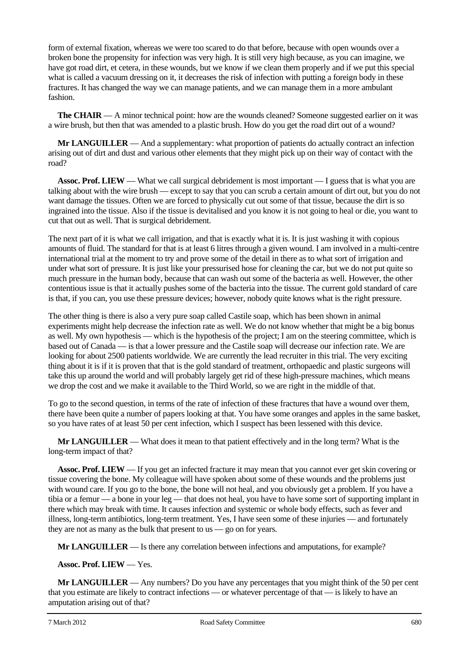form of external fixation, whereas we were too scared to do that before, because with open wounds over a broken bone the propensity for infection was very high. It is still very high because, as you can imagine, we have got road dirt, et cetera, in these wounds, but we know if we clean them properly and if we put this special what is called a vacuum dressing on it, it decreases the risk of infection with putting a foreign body in these fractures. It has changed the way we can manage patients, and we can manage them in a more ambulant fashion.

**The CHAIR** — A minor technical point: how are the wounds cleaned? Someone suggested earlier on it was a wire brush, but then that was amended to a plastic brush. How do you get the road dirt out of a wound?

**Mr LANGUILLER** — And a supplementary: what proportion of patients do actually contract an infection arising out of dirt and dust and various other elements that they might pick up on their way of contact with the road?

**Assoc. Prof. LIEW** — What we call surgical debridement is most important — I guess that is what you are talking about with the wire brush — except to say that you can scrub a certain amount of dirt out, but you do not want damage the tissues. Often we are forced to physically cut out some of that tissue, because the dirt is so ingrained into the tissue. Also if the tissue is devitalised and you know it is not going to heal or die, you want to cut that out as well. That is surgical debridement.

The next part of it is what we call irrigation, and that is exactly what it is. It is just washing it with copious amounts of fluid. The standard for that is at least 6 litres through a given wound. I am involved in a multi-centre international trial at the moment to try and prove some of the detail in there as to what sort of irrigation and under what sort of pressure. It is just like your pressurised hose for cleaning the car, but we do not put quite so much pressure in the human body, because that can wash out some of the bacteria as well. However, the other contentious issue is that it actually pushes some of the bacteria into the tissue. The current gold standard of care is that, if you can, you use these pressure devices; however, nobody quite knows what is the right pressure.

The other thing is there is also a very pure soap called Castile soap, which has been shown in animal experiments might help decrease the infection rate as well. We do not know whether that might be a big bonus as well. My own hypothesis — which is the hypothesis of the project; I am on the steering committee, which is based out of Canada — is that a lower pressure and the Castile soap will decrease our infection rate. We are looking for about 2500 patients worldwide. We are currently the lead recruiter in this trial. The very exciting thing about it is if it is proven that that is the gold standard of treatment, orthopaedic and plastic surgeons will take this up around the world and will probably largely get rid of these high-pressure machines, which means we drop the cost and we make it available to the Third World, so we are right in the middle of that.

To go to the second question, in terms of the rate of infection of these fractures that have a wound over them, there have been quite a number of papers looking at that. You have some oranges and apples in the same basket, so you have rates of at least 50 per cent infection, which I suspect has been lessened with this device.

**Mr LANGUILLER** — What does it mean to that patient effectively and in the long term? What is the long-term impact of that?

**Assoc. Prof. LIEW** — If you get an infected fracture it may mean that you cannot ever get skin covering or tissue covering the bone. My colleague will have spoken about some of these wounds and the problems just with wound care. If you go to the bone, the bone will not heal, and you obviously get a problem. If you have a tibia or a femur — a bone in your leg — that does not heal, you have to have some sort of supporting implant in there which may break with time. It causes infection and systemic or whole body effects, such as fever and illness, long-term antibiotics, long-term treatment. Yes, I have seen some of these injuries — and fortunately they are not as many as the bulk that present to us — go on for years.

**Mr LANGUILLER** — Is there any correlation between infections and amputations, for example?

**Assoc. Prof. LIEW** — Yes.

**Mr LANGUILLER** — Any numbers? Do you have any percentages that you might think of the 50 per cent that you estimate are likely to contract infections — or whatever percentage of that — is likely to have an amputation arising out of that?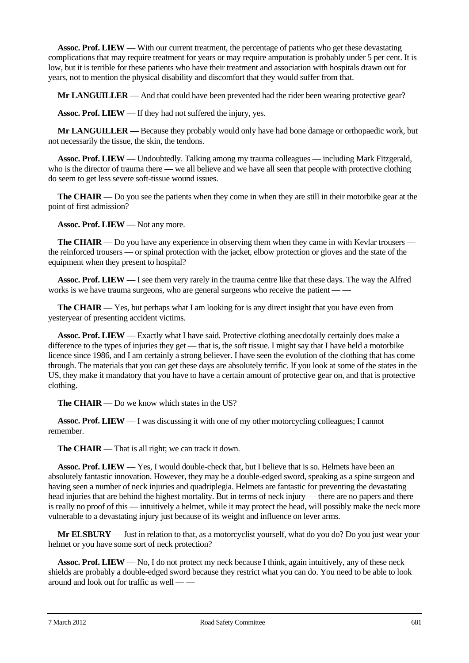**Assoc. Prof. LIEW** — With our current treatment, the percentage of patients who get these devastating complications that may require treatment for years or may require amputation is probably under 5 per cent. It is low, but it is terrible for these patients who have their treatment and association with hospitals drawn out for years, not to mention the physical disability and discomfort that they would suffer from that.

**Mr LANGUILLER** — And that could have been prevented had the rider been wearing protective gear?

**Assoc. Prof. LIEW** — If they had not suffered the injury, yes.

**Mr LANGUILLER** — Because they probably would only have had bone damage or orthopaedic work, but not necessarily the tissue, the skin, the tendons.

**Assoc. Prof. LIEW** — Undoubtedly. Talking among my trauma colleagues — including Mark Fitzgerald, who is the director of trauma there — we all believe and we have all seen that people with protective clothing do seem to get less severe soft-tissue wound issues.

**The CHAIR** — Do you see the patients when they come in when they are still in their motorbike gear at the point of first admission?

**Assoc. Prof. LIEW** — Not any more.

**The CHAIR** — Do you have any experience in observing them when they came in with Kevlar trousers the reinforced trousers — or spinal protection with the jacket, elbow protection or gloves and the state of the equipment when they present to hospital?

**Assoc. Prof. LIEW** — I see them very rarely in the trauma centre like that these days. The way the Alfred works is we have trauma surgeons, who are general surgeons who receive the patient –

**The CHAIR** — Yes, but perhaps what I am looking for is any direct insight that you have even from yesteryear of presenting accident victims.

**Assoc. Prof. LIEW** — Exactly what I have said. Protective clothing anecdotally certainly does make a difference to the types of injuries they get — that is, the soft tissue. I might say that I have held a motorbike licence since 1986, and I am certainly a strong believer. I have seen the evolution of the clothing that has come through. The materials that you can get these days are absolutely terrific. If you look at some of the states in the US, they make it mandatory that you have to have a certain amount of protective gear on, and that is protective clothing.

**The CHAIR** — Do we know which states in the US?

**Assoc. Prof. LIEW** — I was discussing it with one of my other motorcycling colleagues; I cannot remember.

**The CHAIR** — That is all right; we can track it down.

**Assoc. Prof. LIEW** — Yes, I would double-check that, but I believe that is so. Helmets have been an absolutely fantastic innovation. However, they may be a double-edged sword, speaking as a spine surgeon and having seen a number of neck injuries and quadriplegia. Helmets are fantastic for preventing the devastating head injuries that are behind the highest mortality. But in terms of neck injury — there are no papers and there is really no proof of this — intuitively a helmet, while it may protect the head, will possibly make the neck more vulnerable to a devastating injury just because of its weight and influence on lever arms.

**Mr ELSBURY** — Just in relation to that, as a motorcyclist yourself, what do you do? Do you just wear your helmet or you have some sort of neck protection?

**Assoc. Prof. LIEW** — No, I do not protect my neck because I think, again intuitively, any of these neck shields are probably a double-edged sword because they restrict what you can do. You need to be able to look around and look out for traffic as well — —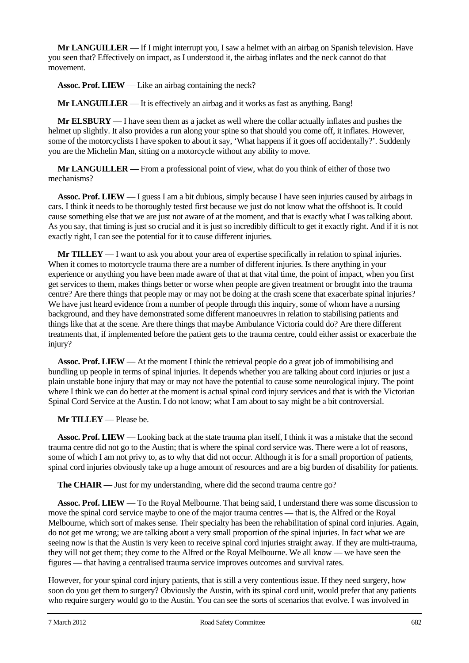**Mr LANGUILLER** — If I might interrupt you, I saw a helmet with an airbag on Spanish television. Have you seen that? Effectively on impact, as I understood it, the airbag inflates and the neck cannot do that movement.

**Assoc. Prof. LIEW** — Like an airbag containing the neck?

**Mr LANGUILLER** — It is effectively an airbag and it works as fast as anything. Bang!

**Mr ELSBURY** — I have seen them as a jacket as well where the collar actually inflates and pushes the helmet up slightly. It also provides a run along your spine so that should you come off, it inflates. However, some of the motorcyclists I have spoken to about it say, 'What happens if it goes off accidentally?'. Suddenly you are the Michelin Man, sitting on a motorcycle without any ability to move.

**Mr LANGUILLER** — From a professional point of view, what do you think of either of those two mechanisms?

**Assoc. Prof. LIEW** — I guess I am a bit dubious, simply because I have seen injuries caused by airbags in cars. I think it needs to be thoroughly tested first because we just do not know what the offshoot is. It could cause something else that we are just not aware of at the moment, and that is exactly what I was talking about. As you say, that timing is just so crucial and it is just so incredibly difficult to get it exactly right. And if it is not exactly right, I can see the potential for it to cause different injuries.

**Mr TILLEY** — I want to ask you about your area of expertise specifically in relation to spinal injuries. When it comes to motorcycle trauma there are a number of different injuries. Is there anything in your experience or anything you have been made aware of that at that vital time, the point of impact, when you first get services to them, makes things better or worse when people are given treatment or brought into the trauma centre? Are there things that people may or may not be doing at the crash scene that exacerbate spinal injuries? We have just heard evidence from a number of people through this inquiry, some of whom have a nursing background, and they have demonstrated some different manoeuvres in relation to stabilising patients and things like that at the scene. Are there things that maybe Ambulance Victoria could do? Are there different treatments that, if implemented before the patient gets to the trauma centre, could either assist or exacerbate the injury?

**Assoc. Prof. LIEW** — At the moment I think the retrieval people do a great job of immobilising and bundling up people in terms of spinal injuries. It depends whether you are talking about cord injuries or just a plain unstable bone injury that may or may not have the potential to cause some neurological injury. The point where I think we can do better at the moment is actual spinal cord injury services and that is with the Victorian Spinal Cord Service at the Austin. I do not know; what I am about to say might be a bit controversial.

## **Mr TILLEY** — Please be.

**Assoc. Prof. LIEW** — Looking back at the state trauma plan itself, I think it was a mistake that the second trauma centre did not go to the Austin; that is where the spinal cord service was. There were a lot of reasons, some of which I am not privy to, as to why that did not occur. Although it is for a small proportion of patients, spinal cord injuries obviously take up a huge amount of resources and are a big burden of disability for patients.

**The CHAIR** — Just for my understanding, where did the second trauma centre go?

**Assoc. Prof. LIEW** — To the Royal Melbourne. That being said, I understand there was some discussion to move the spinal cord service maybe to one of the major trauma centres — that is, the Alfred or the Royal Melbourne, which sort of makes sense. Their specialty has been the rehabilitation of spinal cord injuries. Again, do not get me wrong; we are talking about a very small proportion of the spinal injuries. In fact what we are seeing now is that the Austin is very keen to receive spinal cord injuries straight away. If they are multi-trauma, they will not get them; they come to the Alfred or the Royal Melbourne. We all know — we have seen the figures — that having a centralised trauma service improves outcomes and survival rates.

However, for your spinal cord injury patients, that is still a very contentious issue. If they need surgery, how soon do you get them to surgery? Obviously the Austin, with its spinal cord unit, would prefer that any patients who require surgery would go to the Austin. You can see the sorts of scenarios that evolve. I was involved in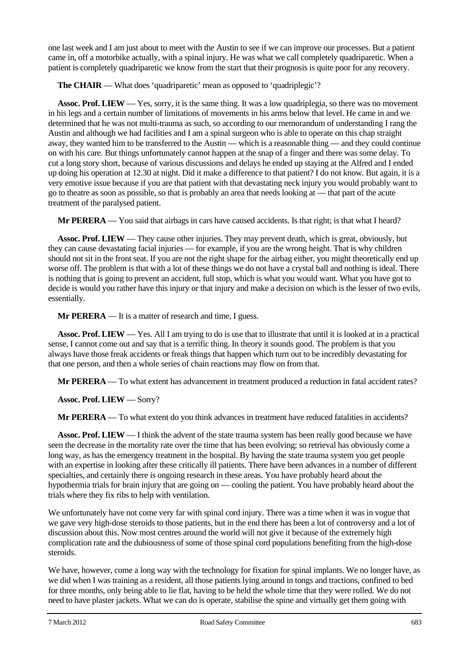one last week and I am just about to meet with the Austin to see if we can improve our processes. But a patient came in, off a motorbike actually, with a spinal injury. He was what we call completely quadriparetic. When a patient is completely quadriparetic we know from the start that their prognosis is quite poor for any recovery.

**The CHAIR** — What does 'quadriparetic' mean as opposed to 'quadriplegic'?

**Assoc. Prof. LIEW** — Yes, sorry, it is the same thing. It was a low quadriplegia, so there was no movement in his legs and a certain number of limitations of movements in his arms below that level. He came in and we determined that he was not multi-trauma as such, so according to our memorandum of understanding I rang the Austin and although we had facilities and I am a spinal surgeon who is able to operate on this chap straight away, they wanted him to be transferred to the Austin — which is a reasonable thing — and they could continue on with his care. But things unfortunately cannot happen at the snap of a finger and there was some delay. To cut a long story short, because of various discussions and delays he ended up staying at the Alfred and I ended up doing his operation at 12.30 at night. Did it make a difference to that patient? I do not know. But again, it is a very emotive issue because if you are that patient with that devastating neck injury you would probably want to go to theatre as soon as possible, so that is probably an area that needs looking at — that part of the acute treatment of the paralysed patient.

**Mr PERERA** — You said that airbags in cars have caused accidents. Is that right; is that what I heard?

**Assoc. Prof. LIEW** — They cause other injuries. They may prevent death, which is great, obviously, but they can cause devastating facial injuries — for example, if you are the wrong height. That is why children should not sit in the front seat. If you are not the right shape for the airbag either, you might theoretically end up worse off. The problem is that with a lot of these things we do not have a crystal ball and nothing is ideal. There is nothing that is going to prevent an accident, full stop, which is what you would want. What you have got to decide is would you rather have this injury or that injury and make a decision on which is the lesser of two evils, essentially.

**Mr PERERA** — It is a matter of research and time, I guess.

**Assoc. Prof. LIEW** — Yes. All I am trying to do is use that to illustrate that until it is looked at in a practical sense, I cannot come out and say that is a terrific thing. In theory it sounds good. The problem is that you always have those freak accidents or freak things that happen which turn out to be incredibly devastating for that one person, and then a whole series of chain reactions may flow on from that.

**Mr PERERA** — To what extent has advancement in treatment produced a reduction in fatal accident rates?

**Assoc. Prof. LIEW** — Sorry?

**Mr PERERA** — To what extent do you think advances in treatment have reduced fatalities in accidents?

**Assoc. Prof. LIEW** — I think the advent of the state trauma system has been really good because we have seen the decrease in the mortality rate over the time that has been evolving; so retrieval has obviously come a long way, as has the emergency treatment in the hospital. By having the state trauma system you get people with an expertise in looking after these critically ill patients. There have been advances in a number of different specialties, and certainly there is ongoing research in these areas. You have probably heard about the hypothermia trials for brain injury that are going on — cooling the patient. You have probably heard about the trials where they fix ribs to help with ventilation.

We unfortunately have not come very far with spinal cord injury. There was a time when it was in vogue that we gave very high-dose steroids to those patients, but in the end there has been a lot of controversy and a lot of discussion about this. Now most centres around the world will not give it because of the extremely high complication rate and the dubiousness of some of those spinal cord populations benefiting from the high-dose steroids.

We have, however, come a long way with the technology for fixation for spinal implants. We no longer have, as we did when I was training as a resident, all those patients lying around in tongs and tractions, confined to bed for three months, only being able to lie flat, having to be held the whole time that they were rolled. We do not need to have plaster jackets. What we can do is operate, stabilise the spine and virtually get them going with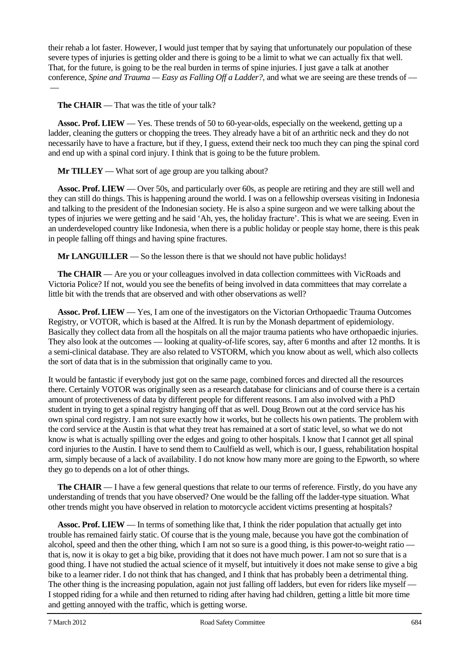their rehab a lot faster. However, I would just temper that by saying that unfortunately our population of these severe types of injuries is getting older and there is going to be a limit to what we can actually fix that well. That, for the future, is going to be the real burden in terms of spine injuries. I just gave a talk at another conference, *Spine and Trauma — Easy as Falling Off a Ladder?*, and what we are seeing are these trends of —

**The CHAIR** — That was the title of your talk?

 $\overline{\phantom{0}}$ 

**Assoc. Prof. LIEW** — Yes. These trends of 50 to 60-year-olds, especially on the weekend, getting up a ladder, cleaning the gutters or chopping the trees. They already have a bit of an arthritic neck and they do not necessarily have to have a fracture, but if they, I guess, extend their neck too much they can ping the spinal cord and end up with a spinal cord injury. I think that is going to be the future problem.

**Mr TILLEY** — What sort of age group are you talking about?

**Assoc. Prof. LIEW** — Over 50s, and particularly over 60s, as people are retiring and they are still well and they can still do things. This is happening around the world. I was on a fellowship overseas visiting in Indonesia and talking to the president of the Indonesian society. He is also a spine surgeon and we were talking about the types of injuries we were getting and he said 'Ah, yes, the holiday fracture'. This is what we are seeing. Even in an underdeveloped country like Indonesia, when there is a public holiday or people stay home, there is this peak in people falling off things and having spine fractures.

**Mr LANGUILLER** — So the lesson there is that we should not have public holidays!

**The CHAIR** — Are you or your colleagues involved in data collection committees with VicRoads and Victoria Police? If not, would you see the benefits of being involved in data committees that may correlate a little bit with the trends that are observed and with other observations as well?

**Assoc. Prof. LIEW** — Yes, I am one of the investigators on the Victorian Orthopaedic Trauma Outcomes Registry, or VOTOR, which is based at the Alfred. It is run by the Monash department of epidemiology. Basically they collect data from all the hospitals on all the major trauma patients who have orthopaedic injuries. They also look at the outcomes — looking at quality-of-life scores, say, after 6 months and after 12 months. It is a semi-clinical database. They are also related to VSTORM, which you know about as well, which also collects the sort of data that is in the submission that originally came to you.

It would be fantastic if everybody just got on the same page, combined forces and directed all the resources there. Certainly VOTOR was originally seen as a research database for clinicians and of course there is a certain amount of protectiveness of data by different people for different reasons. I am also involved with a PhD student in trying to get a spinal registry hanging off that as well. Doug Brown out at the cord service has his own spinal cord registry. I am not sure exactly how it works, but he collects his own patients. The problem with the cord service at the Austin is that what they treat has remained at a sort of static level, so what we do not know is what is actually spilling over the edges and going to other hospitals. I know that I cannot get all spinal cord injuries to the Austin. I have to send them to Caulfield as well, which is our, I guess, rehabilitation hospital arm, simply because of a lack of availability. I do not know how many more are going to the Epworth, so where they go to depends on a lot of other things.

**The CHAIR** — I have a few general questions that relate to our terms of reference. Firstly, do you have any understanding of trends that you have observed? One would be the falling off the ladder-type situation. What other trends might you have observed in relation to motorcycle accident victims presenting at hospitals?

**Assoc. Prof. LIEW** — In terms of something like that, I think the rider population that actually get into trouble has remained fairly static. Of course that is the young male, because you have got the combination of alcohol, speed and then the other thing, which I am not so sure is a good thing, is this power-to-weight ratio that is, now it is okay to get a big bike, providing that it does not have much power. I am not so sure that is a good thing. I have not studied the actual science of it myself, but intuitively it does not make sense to give a big bike to a learner rider. I do not think that has changed, and I think that has probably been a detrimental thing. The other thing is the increasing population, again not just falling off ladders, but even for riders like myself — I stopped riding for a while and then returned to riding after having had children, getting a little bit more time and getting annoyed with the traffic, which is getting worse.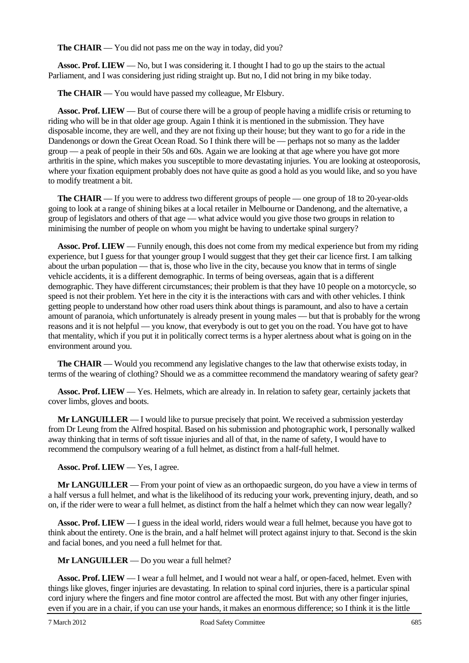**The CHAIR** — You did not pass me on the way in today, did you?

**Assoc. Prof. LIEW** — No, but I was considering it. I thought I had to go up the stairs to the actual Parliament, and I was considering just riding straight up. But no, I did not bring in my bike today.

**The CHAIR** — You would have passed my colleague, Mr Elsbury.

**Assoc. Prof. LIEW** — But of course there will be a group of people having a midlife crisis or returning to riding who will be in that older age group. Again I think it is mentioned in the submission. They have disposable income, they are well, and they are not fixing up their house; but they want to go for a ride in the Dandenongs or down the Great Ocean Road. So I think there will be — perhaps not so many as the ladder group — a peak of people in their 50s and 60s. Again we are looking at that age where you have got more arthritis in the spine, which makes you susceptible to more devastating injuries. You are looking at osteoporosis, where your fixation equipment probably does not have quite as good a hold as you would like, and so you have to modify treatment a bit.

**The CHAIR** — If you were to address two different groups of people — one group of 18 to 20-year-olds going to look at a range of shining bikes at a local retailer in Melbourne or Dandenong, and the alternative, a group of legislators and others of that age — what advice would you give those two groups in relation to minimising the number of people on whom you might be having to undertake spinal surgery?

**Assoc. Prof. LIEW** — Funnily enough, this does not come from my medical experience but from my riding experience, but I guess for that younger group I would suggest that they get their car licence first. I am talking about the urban population — that is, those who live in the city, because you know that in terms of single vehicle accidents, it is a different demographic. In terms of being overseas, again that is a different demographic. They have different circumstances; their problem is that they have 10 people on a motorcycle, so speed is not their problem. Yet here in the city it is the interactions with cars and with other vehicles. I think getting people to understand how other road users think about things is paramount, and also to have a certain amount of paranoia, which unfortunately is already present in young males — but that is probably for the wrong reasons and it is not helpful — you know, that everybody is out to get you on the road. You have got to have that mentality, which if you put it in politically correct terms is a hyper alertness about what is going on in the environment around you.

**The CHAIR** — Would you recommend any legislative changes to the law that otherwise exists today, in terms of the wearing of clothing? Should we as a committee recommend the mandatory wearing of safety gear?

**Assoc. Prof. LIEW** — Yes. Helmets, which are already in. In relation to safety gear, certainly jackets that cover limbs, gloves and boots.

**Mr LANGUILLER** — I would like to pursue precisely that point. We received a submission yesterday from Dr Leung from the Alfred hospital. Based on his submission and photographic work, I personally walked away thinking that in terms of soft tissue injuries and all of that, in the name of safety, I would have to recommend the compulsory wearing of a full helmet, as distinct from a half-full helmet.

**Assoc. Prof. LIEW** — Yes, I agree.

**Mr LANGUILLER** — From your point of view as an orthopaedic surgeon, do you have a view in terms of a half versus a full helmet, and what is the likelihood of its reducing your work, preventing injury, death, and so on, if the rider were to wear a full helmet, as distinct from the half a helmet which they can now wear legally?

**Assoc. Prof. LIEW** — I guess in the ideal world, riders would wear a full helmet, because you have got to think about the entirety. One is the brain, and a half helmet will protect against injury to that. Second is the skin and facial bones, and you need a full helmet for that.

**Mr LANGUILLER** — Do you wear a full helmet?

**Assoc. Prof. LIEW** — I wear a full helmet, and I would not wear a half, or open-faced, helmet. Even with things like gloves, finger injuries are devastating. In relation to spinal cord injuries, there is a particular spinal cord injury where the fingers and fine motor control are affected the most. But with any other finger injuries, even if you are in a chair, if you can use your hands, it makes an enormous difference; so I think it is the little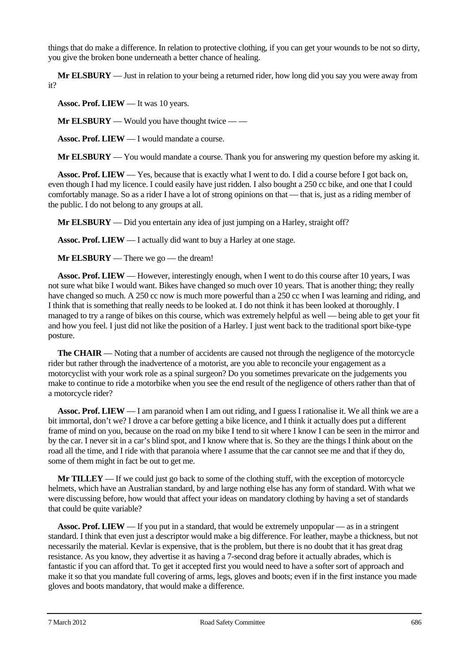things that do make a difference. In relation to protective clothing, if you can get your wounds to be not so dirty, you give the broken bone underneath a better chance of healing.

**Mr ELSBURY** — Just in relation to your being a returned rider, how long did you say you were away from it?

**Assoc. Prof. LIEW** — It was 10 years.

**Mr ELSBURY** — Would you have thought twice — —

**Assoc. Prof. LIEW** — I would mandate a course.

**Mr ELSBURY** — You would mandate a course. Thank you for answering my question before my asking it.

**Assoc. Prof. LIEW** — Yes, because that is exactly what I went to do. I did a course before I got back on, even though I had my licence. I could easily have just ridden. I also bought a 250 cc bike, and one that I could comfortably manage. So as a rider I have a lot of strong opinions on that — that is, just as a riding member of the public. I do not belong to any groups at all.

**Mr ELSBURY** — Did you entertain any idea of just jumping on a Harley, straight off?

**Assoc. Prof. LIEW** — I actually did want to buy a Harley at one stage.

**Mr ELSBURY** — There we go — the dream!

**Assoc. Prof. LIEW** — However, interestingly enough, when I went to do this course after 10 years, I was not sure what bike I would want. Bikes have changed so much over 10 years. That is another thing; they really have changed so much. A 250 cc now is much more powerful than a 250 cc when I was learning and riding, and I think that is something that really needs to be looked at. I do not think it has been looked at thoroughly. I managed to try a range of bikes on this course, which was extremely helpful as well — being able to get your fit and how you feel. I just did not like the position of a Harley. I just went back to the traditional sport bike-type posture.

**The CHAIR** — Noting that a number of accidents are caused not through the negligence of the motorcycle rider but rather through the inadvertence of a motorist, are you able to reconcile your engagement as a motorcyclist with your work role as a spinal surgeon? Do you sometimes prevaricate on the judgements you make to continue to ride a motorbike when you see the end result of the negligence of others rather than that of a motorcycle rider?

**Assoc. Prof. LIEW** — I am paranoid when I am out riding, and I guess I rationalise it. We all think we are a bit immortal, don't we? I drove a car before getting a bike licence, and I think it actually does put a different frame of mind on you, because on the road on my bike I tend to sit where I know I can be seen in the mirror and by the car. I never sit in a car's blind spot, and I know where that is. So they are the things I think about on the road all the time, and I ride with that paranoia where I assume that the car cannot see me and that if they do, some of them might in fact be out to get me.

**Mr TILLEY** — If we could just go back to some of the clothing stuff, with the exception of motorcycle helmets, which have an Australian standard, by and large nothing else has any form of standard. With what we were discussing before, how would that affect your ideas on mandatory clothing by having a set of standards that could be quite variable?

**Assoc. Prof. LIEW** — If you put in a standard, that would be extremely unpopular — as in a stringent standard. I think that even just a descriptor would make a big difference. For leather, maybe a thickness, but not necessarily the material. Kevlar is expensive, that is the problem, but there is no doubt that it has great drag resistance. As you know, they advertise it as having a 7-second drag before it actually abrades, which is fantastic if you can afford that. To get it accepted first you would need to have a softer sort of approach and make it so that you mandate full covering of arms, legs, gloves and boots; even if in the first instance you made gloves and boots mandatory, that would make a difference.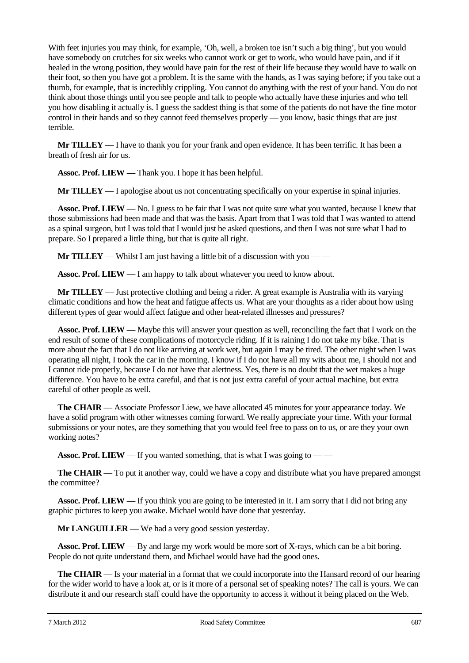With feet injuries you may think, for example, 'Oh, well, a broken toe isn't such a big thing', but you would have somebody on crutches for six weeks who cannot work or get to work, who would have pain, and if it healed in the wrong position, they would have pain for the rest of their life because they would have to walk on their foot, so then you have got a problem. It is the same with the hands, as I was saying before; if you take out a thumb, for example, that is incredibly crippling. You cannot do anything with the rest of your hand. You do not think about those things until you see people and talk to people who actually have these injuries and who tell you how disabling it actually is. I guess the saddest thing is that some of the patients do not have the fine motor control in their hands and so they cannot feed themselves properly — you know, basic things that are just terrible.

**Mr TILLEY** — I have to thank you for your frank and open evidence. It has been terrific. It has been a breath of fresh air for us.

**Assoc. Prof. LIEW** — Thank you. I hope it has been helpful.

**Mr TILLEY** — I apologise about us not concentrating specifically on your expertise in spinal injuries.

**Assoc. Prof. LIEW** — No. I guess to be fair that I was not quite sure what you wanted, because I knew that those submissions had been made and that was the basis. Apart from that I was told that I was wanted to attend as a spinal surgeon, but I was told that I would just be asked questions, and then I was not sure what I had to prepare. So I prepared a little thing, but that is quite all right.

**Mr TILLEY** — Whilst I am just having a little bit of a discussion with you — —

**Assoc. Prof. LIEW** — I am happy to talk about whatever you need to know about.

**Mr TILLEY** — Just protective clothing and being a rider. A great example is Australia with its varying climatic conditions and how the heat and fatigue affects us. What are your thoughts as a rider about how using different types of gear would affect fatigue and other heat-related illnesses and pressures?

**Assoc. Prof. LIEW** — Maybe this will answer your question as well, reconciling the fact that I work on the end result of some of these complications of motorcycle riding. If it is raining I do not take my bike. That is more about the fact that I do not like arriving at work wet, but again I may be tired. The other night when I was operating all night, I took the car in the morning. I know if I do not have all my wits about me, I should not and I cannot ride properly, because I do not have that alertness. Yes, there is no doubt that the wet makes a huge difference. You have to be extra careful, and that is not just extra careful of your actual machine, but extra careful of other people as well.

**The CHAIR** — Associate Professor Liew, we have allocated 45 minutes for your appearance today. We have a solid program with other witnesses coming forward. We really appreciate your time. With your formal submissions or your notes, are they something that you would feel free to pass on to us, or are they your own working notes?

**Assoc. Prof. LIEW** — If you wanted something, that is what I was going to — —

**The CHAIR** — To put it another way, could we have a copy and distribute what you have prepared amongst the committee?

**Assoc. Prof. LIEW** — If you think you are going to be interested in it. I am sorry that I did not bring any graphic pictures to keep you awake. Michael would have done that yesterday.

**Mr LANGUILLER** — We had a very good session yesterday.

**Assoc. Prof. LIEW** — By and large my work would be more sort of X-rays, which can be a bit boring. People do not quite understand them, and Michael would have had the good ones.

**The CHAIR** — Is your material in a format that we could incorporate into the Hansard record of our hearing for the wider world to have a look at, or is it more of a personal set of speaking notes? The call is yours. We can distribute it and our research staff could have the opportunity to access it without it being placed on the Web.